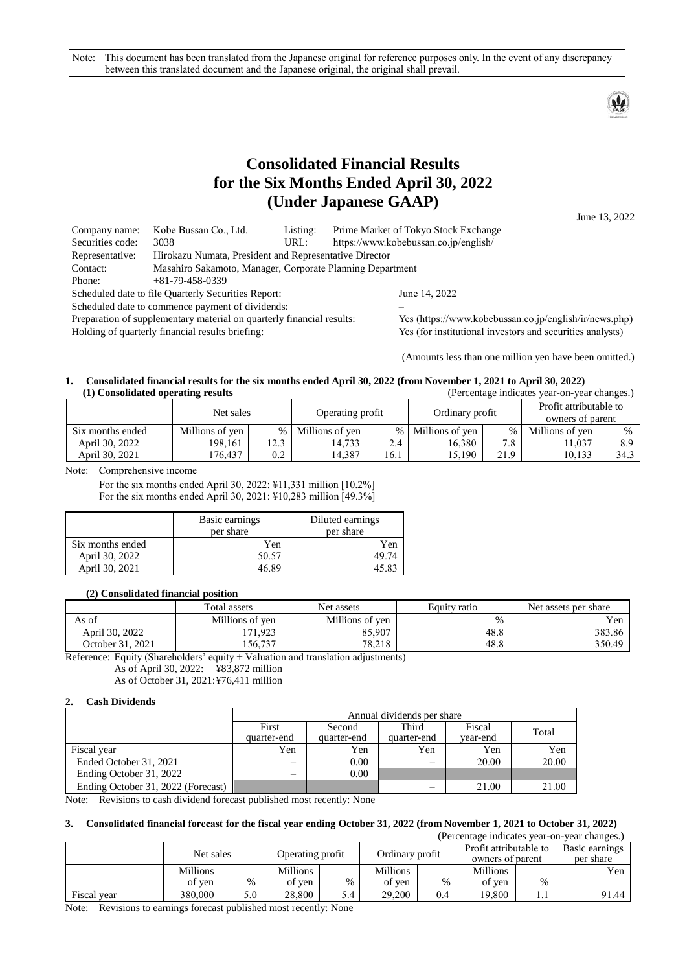Note: This document has been translated from the Japanese original for reference purposes only. In the event of any discrepancy between this translated document and the Japanese original, the original shall prevail.



# **Consolidated Financial Results for the Six Months Ended April 30, 2022 (Under Japanese GAAP)**

June 13, 2022

| Company name:                                                         | Kobe Bussan Co., Ltd.                                                 | Listing:                            | Prime Market of Tokyo Stock Exchange  |
|-----------------------------------------------------------------------|-----------------------------------------------------------------------|-------------------------------------|---------------------------------------|
| Securities code:                                                      | 3038                                                                  | URL:                                | https://www.kobebussan.co.jp/english/ |
| Representative:                                                       | Hirokazu Numata, President and Representative Director                |                                     |                                       |
| Masahiro Sakamoto, Manager, Corporate Planning Department<br>Contact: |                                                                       |                                     |                                       |
| Phone:                                                                | $+81-79-458-0339$                                                     |                                     |                                       |
|                                                                       | Scheduled date to file Quarterly Securities Report:                   |                                     | June 14, 2022                         |
|                                                                       | Scheduled date to commence payment of dividends:                      |                                     |                                       |
|                                                                       | Preparation of supplementary material on quarterly financial results: | Yes (https://www.kobebussan.co.jp/e |                                       |

Preparation of supplementary material on quarterly financial results:<br>  $\frac{V_{\text{ES}}}{V_{\text{ES}}}$  (for institutional investors and securities analysts)<br>
Yes (for institutional investors and securities analysts)

Yes (for institutional investors and securities analysts)

(Amounts less than one million yen have been omitted.)

#### **1. Consolidated financial results for the six months ended April 30, 2022 (from November 1, 2021 to April 30, 2022) (1) Consolidated operating results** (Percentage indicates year-on-year changes.)

| $(1)$ Consondance operating results |                 | u ciccinaze muicates | vcai-on-vcai changes. |               |                   |       |                                            |               |
|-------------------------------------|-----------------|----------------------|-----------------------|---------------|-------------------|-------|--------------------------------------------|---------------|
|                                     | Net sales       |                      | Operating profit      |               | Ordinary profit   |       | Profit attributable to<br>owners of parent |               |
| Six months ended                    | Millions of yen | $\%$                 | Millions of yen       |               | % Millions of yen | $%$ 1 | Millions of yen                            | $\frac{0}{0}$ |
| April 30, 2022                      | 198.161         | 12.3                 | 14.733                | $2.4^{\circ}$ | 16.380            | 7.8   | 11.037                                     | 8.9           |
| April 30, 2021                      | 76.437          | 0.2                  | 14.387                | 16.1          | 15.190            | 21.9  | 10.133                                     | 34.3          |

Note: Comprehensive income

For the six months ended April 30, 2022: ¥11,331 million [10.2%] For the six months ended April 30, 2021: ¥10,283 million [49.3%]

|                  | Basic earnings<br>per share | Diluted earnings<br>per share |
|------------------|-----------------------------|-------------------------------|
| Six months ended | Yen                         | Yen                           |
| April 30, 2022   | 50.57                       | 49.74                         |
| April 30, 2021   | 46.89                       | 45.83                         |

#### **(2) Consolidated financial position**

|                  | Total assets    | Net assets      | Equity ratio | Net assets per share |
|------------------|-----------------|-----------------|--------------|----------------------|
| As of            | Millions of yen | Millions of yen | $\%$         | Yen                  |
| April 30, 2022   | 171,923         | 85.907          | 48.8         | 383.86               |
| October 31, 2021 | 156,737         | 78.218          | 48.8         | 350.49               |

Reference: Equity (Shareholders' equity + Valuation and translation adjustments) As of April 30, 2022: ¥83,872 million

As of October 31, 2021:¥76,411 million

#### **2. Cash Dividends**

|                                    |             | Annual dividends per share |             |          |       |  |  |
|------------------------------------|-------------|----------------------------|-------------|----------|-------|--|--|
|                                    | First       | Fiscal<br>Third<br>Second  |             |          |       |  |  |
|                                    | quarter-end | quarter-end                | quarter-end | vear-end | Total |  |  |
| Fiscal year                        | Yen         | Yen                        | Yen         | Yen      | Yen   |  |  |
| Ended October 31, 2021             |             | 0.00                       |             | 20.00    | 20.00 |  |  |
| Ending October 31, 2022            |             | 0.00                       |             |          |       |  |  |
| Ending October 31, 2022 (Forecast) |             |                            | –           | 21.00    | 21.00 |  |  |

Note: Revisions to cash dividend forecast published most recently: None

#### **3. Consolidated financial forecast for the fiscal year ending October 31, 2022 (from November 1, 2021 to October 31, 2022)** (Percentage indicates year-on-year changes.)

|             |           |      |                  |      |                 |      |                                            |      | (1 Citchilage muncales veal-011-veal changes.) |
|-------------|-----------|------|------------------|------|-----------------|------|--------------------------------------------|------|------------------------------------------------|
|             | Net sales |      | Operating profit |      | Ordinary profit |      | Profit attributable to<br>owners of parent |      | Basic earnings<br>per share                    |
|             | Millions  |      | <b>Millions</b>  |      | <b>Millions</b> |      | <b>Millions</b>                            |      | Yen                                            |
|             | of yen    | $\%$ | of yen           | $\%$ | of yen          | $\%$ | of yen                                     | $\%$ |                                                |
| Fiscal vear | 380,000   | 5.0  | 28,800           | 5.4  | 29,200          | 0.4  | 19.800                                     |      | 91.44                                          |

Note: Revisions to earnings forecast published most recently: None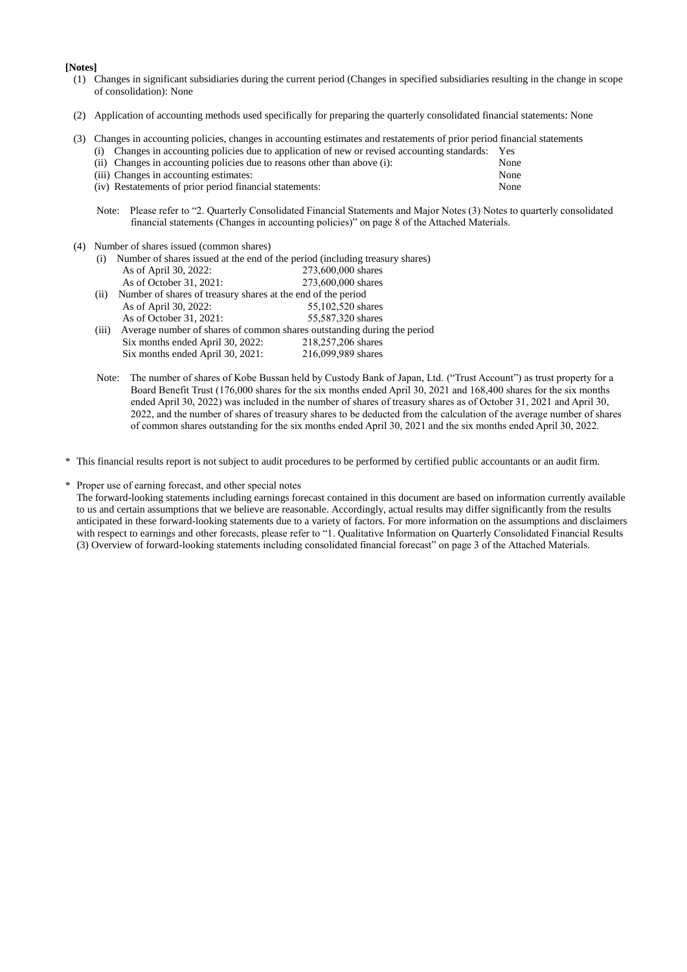**[Notes]**

- (1) Changes in significant subsidiaries during the current period (Changes in specified subsidiaries resulting in the change in scope of consolidation): None
- (2) Application of accounting methods used specifically for preparing the quarterly consolidated financial statements: None
- (3) Changes in accounting policies, changes in accounting estimates and restatements of prior period financial statements (i) Changes in accounting policies due to application of new or revised accounting standards: Yes

| (ii) Changes in accounting policies due to reasons other than above (i): | None |
|--------------------------------------------------------------------------|------|
| (iii) Changes in accounting estimates:                                   | None |
| (iv) Restatements of prior period financial statements:                  | None |

- Note: Please refer to "2. Quarterly Consolidated Financial Statements and Major Notes (3) Notes to quarterly consolidated financial statements (Changes in accounting policies)" on page 8 of the Attached Materials.
- (4) Number of shares issued (common shares)

| (i)   | Number of shares issued at the end of the period (including treasury shares) |                                                                         |  |  |  |  |
|-------|------------------------------------------------------------------------------|-------------------------------------------------------------------------|--|--|--|--|
|       | As of April 30, 2022:                                                        | 273,600,000 shares                                                      |  |  |  |  |
|       | As of October 31, 2021:                                                      | 273,600,000 shares                                                      |  |  |  |  |
| (ii)  | Number of shares of treasury shares at the end of the period                 |                                                                         |  |  |  |  |
|       | As of April 30, 2022:                                                        | 55,102,520 shares                                                       |  |  |  |  |
|       | As of October 31, 2021:                                                      | 55,587,320 shares                                                       |  |  |  |  |
| (iii) |                                                                              | Average number of shares of common shares outstanding during the period |  |  |  |  |
|       | Six months ended April 30, 2022:                                             | 218,257,206 shares                                                      |  |  |  |  |
|       | Six months ended April 30, 2021:                                             | 216,099,989 shares                                                      |  |  |  |  |
|       |                                                                              |                                                                         |  |  |  |  |

Note: The number of shares of Kobe Bussan held by Custody Bank of Japan, Ltd. ("Trust Account") as trust property for a Board Benefit Trust (176,000 shares for the six months ended April 30, 2021 and 168,400 shares for the six months ended April 30, 2022) was included in the number of shares of treasury shares as of October 31, 2021 and April 30, 2022, and the number of shares of treasury shares to be deducted from the calculation of the average number of shares of common shares outstanding for the six months ended April 30, 2021 and the six months ended April 30, 2022.

\* This financial results report is not subject to audit procedures to be performed by certified public accountants or an audit firm.

\* Proper use of earning forecast, and other special notes

The forward-looking statements including earnings forecast contained in this document are based on information currently available to us and certain assumptions that we believe are reasonable. Accordingly, actual results may differ significantly from the results anticipated in these forward-looking statements due to a variety of factors. For more information on the assumptions and disclaimers with respect to earnings and other forecasts, please refer to "1. Qualitative Information on Quarterly Consolidated Financial Results (3) Overview of forward-looking statements including consolidated financial forecast" on page 3 of the Attached Materials.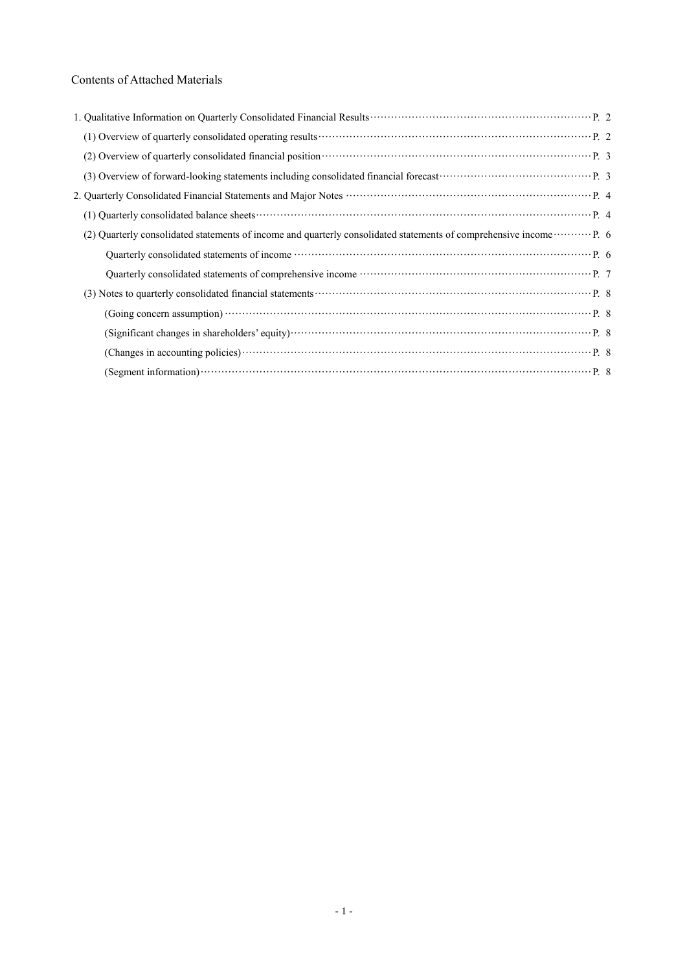## Contents of Attached Materials

| (2) Overview of quarterly consolidated financial position <b>contained</b> and contained position <b>P.</b> 3       |  |
|---------------------------------------------------------------------------------------------------------------------|--|
|                                                                                                                     |  |
|                                                                                                                     |  |
|                                                                                                                     |  |
| (2) Quarterly consolidated statements of income and quarterly consolidated statements of comprehensive income  P. 6 |  |
|                                                                                                                     |  |
|                                                                                                                     |  |
|                                                                                                                     |  |
|                                                                                                                     |  |
|                                                                                                                     |  |
|                                                                                                                     |  |
|                                                                                                                     |  |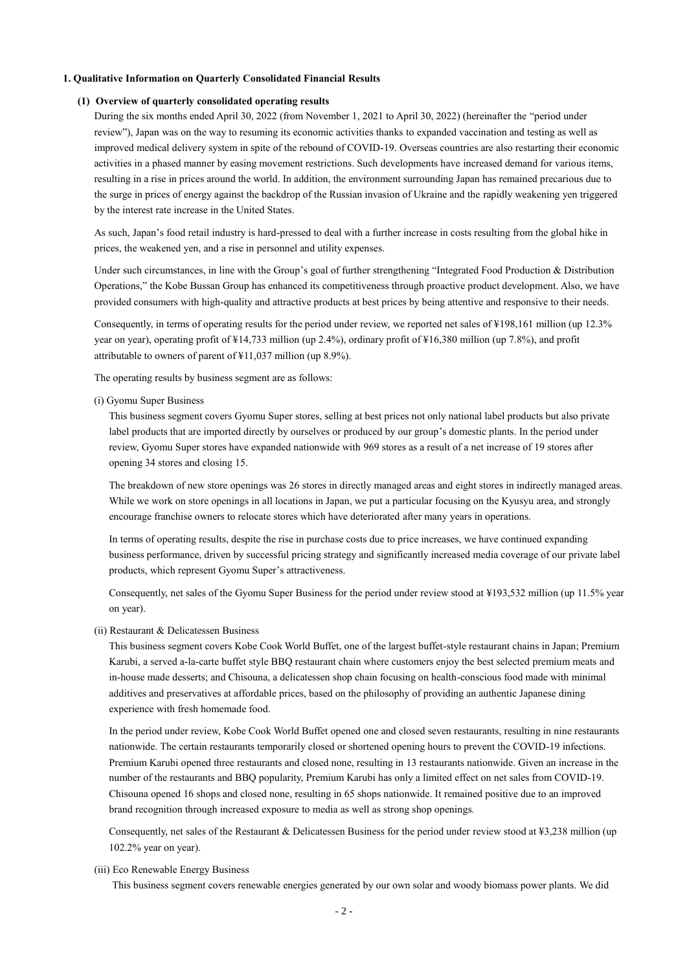#### **1. Qualitative Information on Quarterly Consolidated Financial Results**

#### **(1) Overview of quarterly consolidated operating results**

During the six months ended April 30, 2022 (from November 1, 2021 to April 30, 2022) (hereinafter the "period under review"), Japan was on the way to resuming its economic activities thanks to expanded vaccination and testing as well as improved medical delivery system in spite of the rebound of COVID-19. Overseas countries are also restarting their economic activities in a phased manner by easing movement restrictions. Such developments have increased demand for various items, resulting in a rise in prices around the world. In addition, the environment surrounding Japan has remained precarious due to the surge in prices of energy against the backdrop of the Russian invasion of Ukraine and the rapidly weakening yen triggered by the interest rate increase in the United States.

As such, Japan's food retail industry is hard-pressed to deal with a further increase in costs resulting from the global hike in prices, the weakened yen, and a rise in personnel and utility expenses.

Under such circumstances, in line with the Group's goal of further strengthening "Integrated Food Production & Distribution Operations," the Kobe Bussan Group has enhanced its competitiveness through proactive product development. Also, we have provided consumers with high-quality and attractive products at best prices by being attentive and responsive to their needs.

Consequently, in terms of operating results for the period under review, we reported net sales of ¥198,161 million (up 12.3% year on year), operating profit of ¥14,733 million (up 2.4%), ordinary profit of ¥16,380 million (up 7.8%), and profit attributable to owners of parent of ¥11,037 million (up 8.9%).

The operating results by business segment are as follows:

(i) Gyomu Super Business

This business segment covers Gyomu Super stores, selling at best prices not only national label products but also private label products that are imported directly by ourselves or produced by our group's domestic plants. In the period under review, Gyomu Super stores have expanded nationwide with 969 stores as a result of a net increase of 19 stores after opening 34 stores and closing 15.

The breakdown of new store openings was 26 stores in directly managed areas and eight stores in indirectly managed areas. While we work on store openings in all locations in Japan, we put a particular focusing on the Kyusyu area, and strongly encourage franchise owners to relocate stores which have deteriorated after many years in operations.

In terms of operating results, despite the rise in purchase costs due to price increases, we have continued expanding business performance, driven by successful pricing strategy and significantly increased media coverage of our private label products, which represent Gyomu Super's attractiveness.

Consequently, net sales of the Gyomu Super Business for the period under review stood at ¥193,532 million (up 11.5% year on year).

#### (ii) Restaurant & Delicatessen Business

This business segment covers Kobe Cook World Buffet, one of the largest buffet-style restaurant chains in Japan; Premium Karubi, a served a-la-carte buffet style BBQ restaurant chain where customers enjoy the best selected premium meats and in-house made desserts; and Chisouna, a delicatessen shop chain focusing on health-conscious food made with minimal additives and preservatives at affordable prices, based on the philosophy of providing an authentic Japanese dining experience with fresh homemade food.

In the period under review, Kobe Cook World Buffet opened one and closed seven restaurants, resulting in nine restaurants nationwide. The certain restaurants temporarily closed or shortened opening hours to prevent the COVID-19 infections. Premium Karubi opened three restaurants and closed none, resulting in 13 restaurants nationwide. Given an increase in the number of the restaurants and BBQ popularity, Premium Karubi has only a limited effect on net sales from COVID-19. Chisouna opened 16 shops and closed none, resulting in 65 shops nationwide. It remained positive due to an improved brand recognition through increased exposure to media as well as strong shop openings.

Consequently, net sales of the Restaurant & Delicatessen Business for the period under review stood at ¥3,238 million (up 102.2% year on year).

(iii) Eco Renewable Energy Business

This business segment covers renewable energies generated by our own solar and woody biomass power plants. We did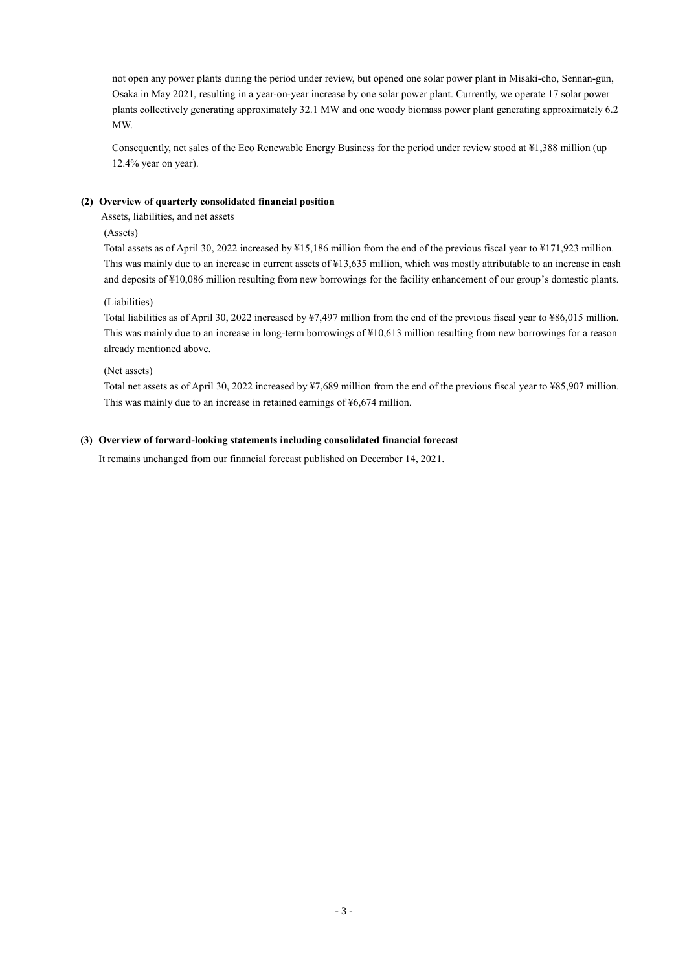not open any power plants during the period under review, but opened one solar power plant in Misaki-cho, Sennan-gun, Osaka in May 2021, resulting in a year-on-year increase by one solar power plant. Currently, we operate 17 solar power plants collectively generating approximately 32.1 MW and one woody biomass power plant generating approximately 6.2 MW.

Consequently, net sales of the Eco Renewable Energy Business for the period under review stood at ¥1,388 million (up 12.4% year on year).

### **(2) Overview of quarterly consolidated financial position**

Assets, liabilities, and net assets

### (Assets)

Total assets as of April 30, 2022 increased by ¥15,186 million from the end of the previous fiscal year to ¥171,923 million. This was mainly due to an increase in current assets of ¥13,635 million, which was mostly attributable to an increase in cash and deposits of ¥10,086 million resulting from new borrowings for the facility enhancement of our group's domestic plants.

### (Liabilities)

Total liabilities as of April 30, 2022 increased by ¥7,497 million from the end of the previous fiscal year to ¥86,015 million. This was mainly due to an increase in long-term borrowings of ¥10,613 million resulting from new borrowings for a reason already mentioned above.

#### (Net assets)

Total net assets as of April 30, 2022 increased by ¥7,689 million from the end of the previous fiscal year to ¥85,907 million. This was mainly due to an increase in retained earnings of ¥6,674 million.

#### **(3) Overview of forward-looking statements including consolidated financial forecast**

It remains unchanged from our financial forecast published on December 14, 2021.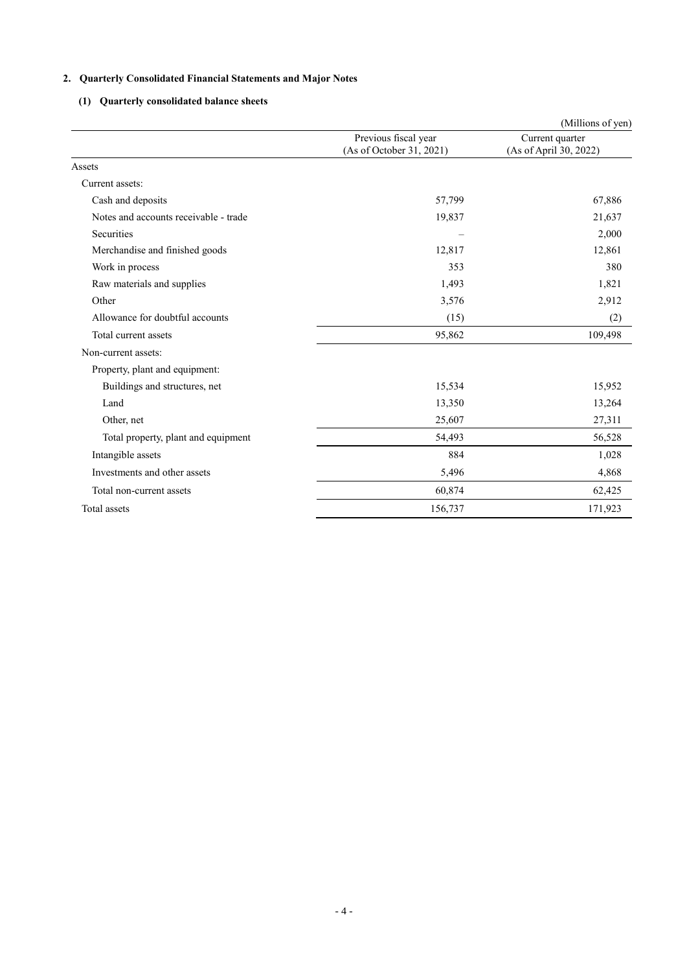## **2. Quarterly Consolidated Financial Statements and Major Notes**

## **(1) Quarterly consolidated balance sheets**

|                                       |                                                  | (Millions of yen)                         |
|---------------------------------------|--------------------------------------------------|-------------------------------------------|
|                                       | Previous fiscal year<br>(As of October 31, 2021) | Current quarter<br>(As of April 30, 2022) |
| Assets                                |                                                  |                                           |
| Current assets:                       |                                                  |                                           |
| Cash and deposits                     | 57,799                                           | 67,886                                    |
| Notes and accounts receivable - trade | 19,837                                           | 21,637                                    |
| <b>Securities</b>                     |                                                  | 2,000                                     |
| Merchandise and finished goods        | 12,817                                           | 12,861                                    |
| Work in process                       | 353                                              | 380                                       |
| Raw materials and supplies            | 1,493                                            | 1,821                                     |
| Other                                 | 3,576                                            | 2,912                                     |
| Allowance for doubtful accounts       | (15)                                             | (2)                                       |
| Total current assets                  | 95,862                                           | 109,498                                   |
| Non-current assets:                   |                                                  |                                           |
| Property, plant and equipment:        |                                                  |                                           |
| Buildings and structures, net         | 15,534                                           | 15,952                                    |
| Land                                  | 13,350                                           | 13,264                                    |
| Other, net                            | 25,607                                           | 27,311                                    |
| Total property, plant and equipment   | 54,493                                           | 56,528                                    |
| Intangible assets                     | 884                                              | 1,028                                     |
| Investments and other assets          | 5,496                                            | 4,868                                     |
| Total non-current assets              | 60,874                                           | 62,425                                    |
| Total assets                          | 156,737                                          | 171,923                                   |
|                                       |                                                  |                                           |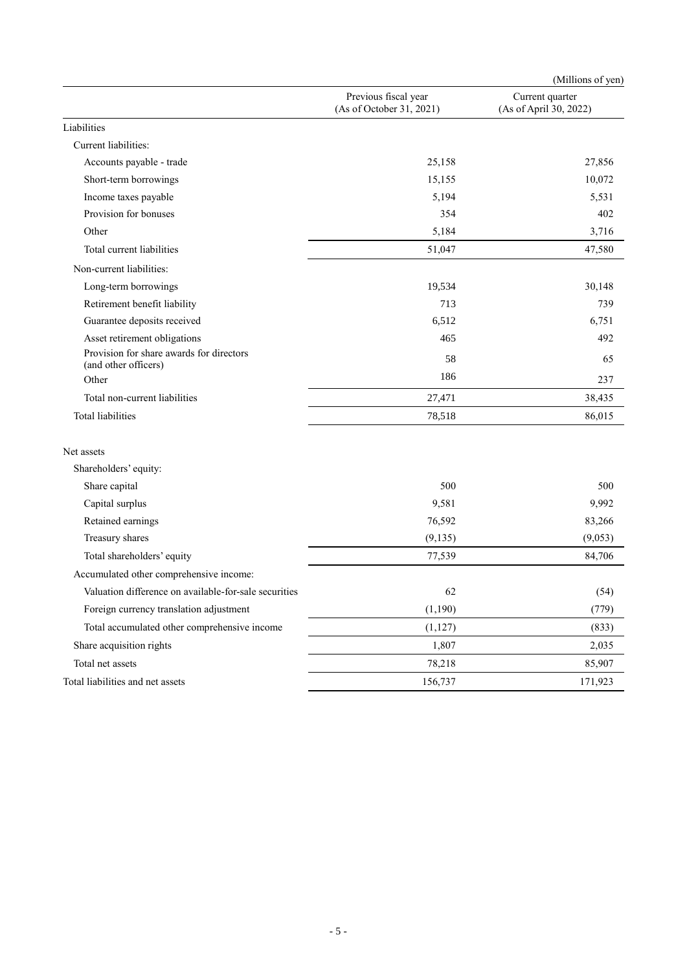|                                                                  |                                                  | (Millions of yen)                         |
|------------------------------------------------------------------|--------------------------------------------------|-------------------------------------------|
|                                                                  | Previous fiscal year<br>(As of October 31, 2021) | Current quarter<br>(As of April 30, 2022) |
| Liabilities                                                      |                                                  |                                           |
| Current liabilities:                                             |                                                  |                                           |
| Accounts payable - trade                                         | 25,158                                           | 27,856                                    |
| Short-term borrowings                                            | 15,155                                           | 10,072                                    |
| Income taxes payable                                             | 5,194                                            | 5,531                                     |
| Provision for bonuses                                            | 354                                              | 402                                       |
| Other                                                            | 5,184                                            | 3,716                                     |
| Total current liabilities                                        | 51,047                                           | 47,580                                    |
| Non-current liabilities:                                         |                                                  |                                           |
| Long-term borrowings                                             | 19,534                                           | 30,148                                    |
| Retirement benefit liability                                     | 713                                              | 739                                       |
| Guarantee deposits received                                      | 6,512                                            | 6.751                                     |
| Asset retirement obligations                                     | 465                                              | 492                                       |
| Provision for share awards for directors<br>(and other officers) | 58                                               | 65                                        |
| Other                                                            | 186                                              | 237                                       |
| Total non-current liabilities                                    | 27,471                                           | 38,435                                    |
| Total liabilities                                                | 78,518                                           | 86,015                                    |
| Net assets                                                       |                                                  |                                           |
| Shareholders' equity:                                            |                                                  |                                           |
| Share capital                                                    | 500                                              | 500                                       |
| Capital surplus                                                  | 9,581                                            | 9,992                                     |
| Retained earnings                                                | 76,592                                           | 83,266                                    |
| Treasury shares                                                  | (9, 135)                                         | (9,053)                                   |
| Total shareholders' equity                                       | 77,539                                           | 84,706                                    |
| Accumulated other comprehensive income:                          |                                                  |                                           |
| Valuation difference on available-for-sale securities            | 62                                               | (54)                                      |
| Foreign currency translation adjustment                          | (1,190)                                          | (779)                                     |
| Total accumulated other comprehensive income                     | (1, 127)                                         | (833)                                     |
| Share acquisition rights                                         | 1,807                                            | 2,035                                     |
| Total net assets                                                 | 78,218                                           | 85,907                                    |
| Total liabilities and net assets                                 | 156,737                                          | 171,923                                   |
|                                                                  |                                                  |                                           |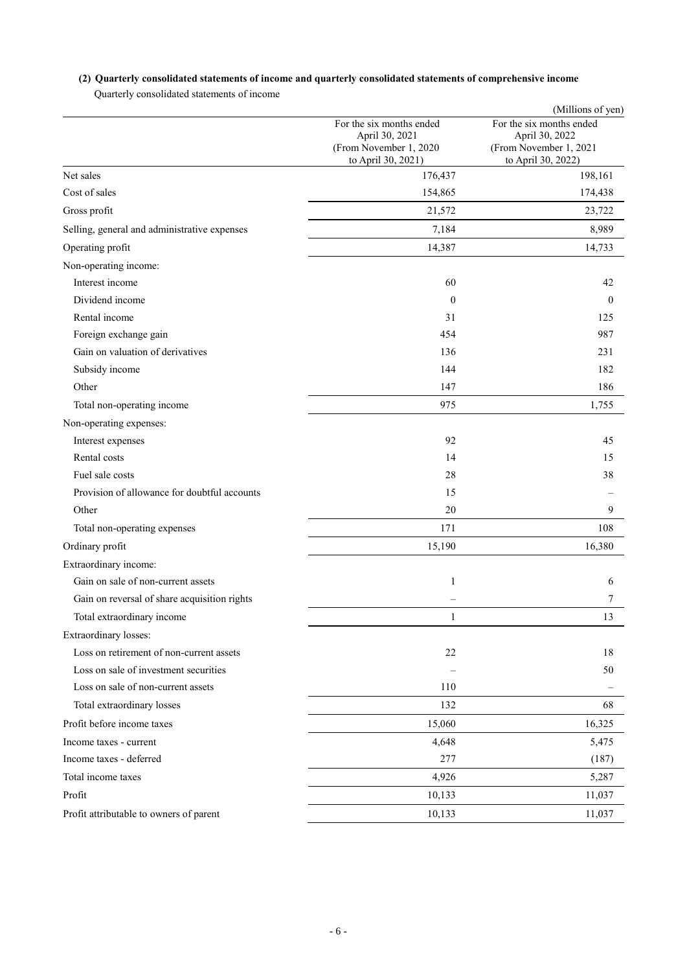## **(2) Quarterly consolidated statements of income and quarterly consolidated statements of comprehensive income**

Quarterly consolidated statements of income

|                                              |                                                                                            | (Millions of yen)                                                                          |
|----------------------------------------------|--------------------------------------------------------------------------------------------|--------------------------------------------------------------------------------------------|
|                                              | For the six months ended<br>April 30, 2021<br>(From November 1, 2020<br>to April 30, 2021) | For the six months ended<br>April 30, 2022<br>(From November 1, 2021<br>to April 30, 2022) |
| Net sales                                    | 176,437                                                                                    | 198,161                                                                                    |
| Cost of sales                                | 154,865                                                                                    | 174,438                                                                                    |
| Gross profit                                 | 21,572                                                                                     | 23,722                                                                                     |
| Selling, general and administrative expenses | 7,184                                                                                      | 8,989                                                                                      |
| Operating profit                             | 14,387                                                                                     | 14,733                                                                                     |
| Non-operating income:                        |                                                                                            |                                                                                            |
| Interest income                              | 60                                                                                         | 42                                                                                         |
| Dividend income                              | $\theta$                                                                                   | $\mathbf{0}$                                                                               |
| Rental income                                | 31                                                                                         | 125                                                                                        |
| Foreign exchange gain                        | 454                                                                                        | 987                                                                                        |
| Gain on valuation of derivatives             | 136                                                                                        | 231                                                                                        |
| Subsidy income                               | 144                                                                                        | 182                                                                                        |
| Other                                        | 147                                                                                        | 186                                                                                        |
| Total non-operating income                   | 975                                                                                        | 1,755                                                                                      |
| Non-operating expenses:                      |                                                                                            |                                                                                            |
| Interest expenses                            | 92                                                                                         | 45                                                                                         |
| Rental costs                                 | 14                                                                                         | 15                                                                                         |
| Fuel sale costs                              | 28                                                                                         | 38                                                                                         |
| Provision of allowance for doubtful accounts | 15                                                                                         |                                                                                            |
| Other                                        | 20                                                                                         | 9                                                                                          |
| Total non-operating expenses                 | 171                                                                                        | 108                                                                                        |
| Ordinary profit                              | 15,190                                                                                     | 16,380                                                                                     |
| Extraordinary income:                        |                                                                                            |                                                                                            |
| Gain on sale of non-current assets           | $\mathbf{1}$                                                                               | 6                                                                                          |
| Gain on reversal of share acquisition rights |                                                                                            | 7                                                                                          |
| Total extraordinary income                   | $\mathbf{1}$                                                                               | 13                                                                                         |
| Extraordinary losses:                        |                                                                                            |                                                                                            |
| Loss on retirement of non-current assets     | 22                                                                                         | 18                                                                                         |
| Loss on sale of investment securities        |                                                                                            | 50                                                                                         |
| Loss on sale of non-current assets           | 110                                                                                        |                                                                                            |
| Total extraordinary losses                   | 132                                                                                        | 68                                                                                         |
| Profit before income taxes                   | 15,060                                                                                     | 16,325                                                                                     |
| Income taxes - current                       | 4,648                                                                                      | 5,475                                                                                      |
| Income taxes - deferred                      | 277                                                                                        | (187)                                                                                      |
| Total income taxes                           | 4,926                                                                                      | 5,287                                                                                      |
| Profit                                       | 10,133                                                                                     | 11,037                                                                                     |
| Profit attributable to owners of parent      | 10,133                                                                                     | 11,037                                                                                     |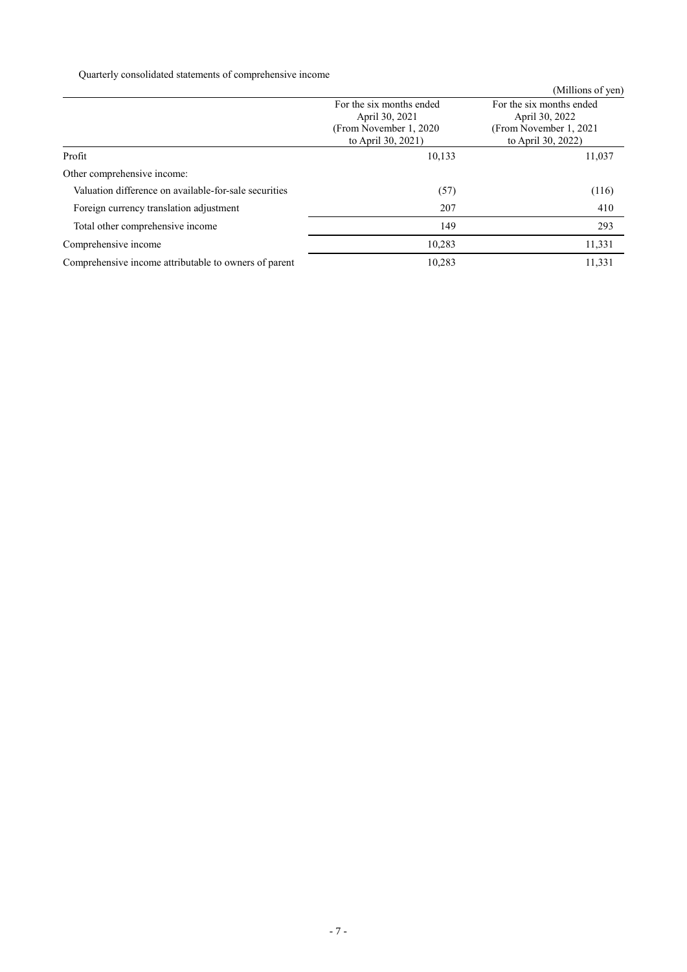Quarterly consolidated statements of comprehensive income

|                                                       |                                                                       | (Millions of yen)                                                     |  |  |
|-------------------------------------------------------|-----------------------------------------------------------------------|-----------------------------------------------------------------------|--|--|
|                                                       | For the six months ended<br>April 30, 2021<br>(From November 1, 2020) | For the six months ended<br>April 30, 2022<br>(From November 1, 2021) |  |  |
|                                                       | to April 30, 2021)                                                    | to April 30, 2022)                                                    |  |  |
| Profit                                                | 10,133                                                                | 11,037                                                                |  |  |
| Other comprehensive income:                           |                                                                       |                                                                       |  |  |
| Valuation difference on available-for-sale securities | (57)                                                                  | (116)                                                                 |  |  |
| Foreign currency translation adjustment               | 207                                                                   | 410                                                                   |  |  |
| Total other comprehensive income                      | 149                                                                   | 293                                                                   |  |  |
| Comprehensive income                                  | 10,283                                                                | 11,331                                                                |  |  |
| Comprehensive income attributable to owners of parent | 10,283                                                                | 11,331                                                                |  |  |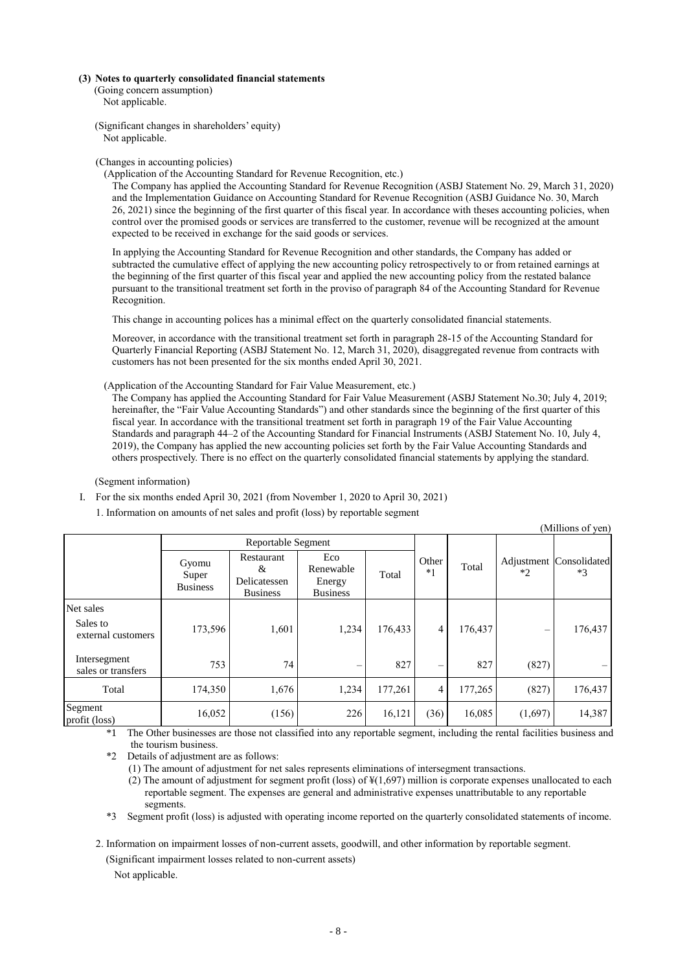#### **(3) Notes to quarterly consolidated financial statements**

- (Going concern assumption) Not applicable.
- (Significant changes in shareholders' equity) Not applicable.

#### (Changes in accounting policies)

(Application of the Accounting Standard for Revenue Recognition, etc.)

The Company has applied the Accounting Standard for Revenue Recognition (ASBJ Statement No. 29, March 31, 2020) and the Implementation Guidance on Accounting Standard for Revenue Recognition (ASBJ Guidance No. 30, March 26, 2021) since the beginning of the first quarter of this fiscal year. In accordance with theses accounting policies, when control over the promised goods or services are transferred to the customer, revenue will be recognized at the amount expected to be received in exchange for the said goods or services.

In applying the Accounting Standard for Revenue Recognition and other standards, the Company has added or subtracted the cumulative effect of applying the new accounting policy retrospectively to or from retained earnings at the beginning of the first quarter of this fiscal year and applied the new accounting policy from the restated balance pursuant to the transitional treatment set forth in the proviso of paragraph 84 of the Accounting Standard for Revenue Recognition.

This change in accounting polices has a minimal effect on the quarterly consolidated financial statements.

Moreover, in accordance with the transitional treatment set forth in paragraph 28-15 of the Accounting Standard for Quarterly Financial Reporting (ASBJ Statement No. 12, March 31, 2020), disaggregated revenue from contracts with customers has not been presented for the six months ended April 30, 2021.

(Application of the Accounting Standard for Fair Value Measurement, etc.)

The Company has applied the Accounting Standard for Fair Value Measurement (ASBJ Statement No.30; July 4, 2019; hereinafter, the "Fair Value Accounting Standards") and other standards since the beginning of the first quarter of this fiscal year. In accordance with the transitional treatment set forth in paragraph 19 of the Fair Value Accounting Standards and paragraph 44–2 of the Accounting Standard for Financial Instruments (ASBJ Statement No. 10, July 4, 2019), the Company has applied the new accounting policies set forth by the Fair Value Accounting Standards and others prospectively. There is no effect on the quarterly consolidated financial statements by applying the standard.

#### (Segment information)

- I. For the six months ended April 30, 2021 (from November 1, 2020 to April 30, 2021)
	- 1. Information on amounts of net sales and profit (loss) by reportable segment

|                                             |                                   |                                                           |                                               |         |                  |         |         | (Millions of yen)               |
|---------------------------------------------|-----------------------------------|-----------------------------------------------------------|-----------------------------------------------|---------|------------------|---------|---------|---------------------------------|
|                                             | Reportable Segment                |                                                           |                                               |         |                  |         |         |                                 |
|                                             | Gyomu<br>Super<br><b>Business</b> | <b>Restaurant</b><br>&<br>Delicatessen<br><b>Business</b> | Eco<br>Renewable<br>Energy<br><b>Business</b> | Total   | Other<br>$*_{1}$ | Total   | $*2$    | Adjustment Consolidated<br>$*3$ |
| Net sales<br>Sales to<br>external customers | 173,596                           | 1,601                                                     | 1,234                                         | 176,433 | 4                | 176,437 |         | 176,437                         |
| Intersegment<br>sales or transfers          | 753                               | 74                                                        | -                                             | 827     | $\equiv$         | 827     | (827)   |                                 |
| Total                                       | 174,350                           | 1,676                                                     | 1,234                                         | 177,261 | 4                | 177,265 | (827)   | 176,437                         |
| Segment<br>profit (loss)                    | 16,052                            | (156)                                                     | 226                                           | 16,121  | (36)             | 16,085  | (1,697) | 14,387                          |

\*1 The Other businesses are those not classified into any reportable segment, including the rental facilities business and the tourism business.

\*2 Details of adjustment are as follows:

(1) The amount of adjustment for net sales represents eliminations of intersegment transactions.

(2) The amount of adjustment for segment profit (loss) of ¥(1,697) million is corporate expenses unallocated to each reportable segment. The expenses are general and administrative expenses unattributable to any reportable segments.

\*3 Segment profit (loss) is adjusted with operating income reported on the quarterly consolidated statements of income.

2. Information on impairment losses of non-current assets, goodwill, and other information by reportable segment.

(Significant impairment losses related to non-current assets)

Not applicable.